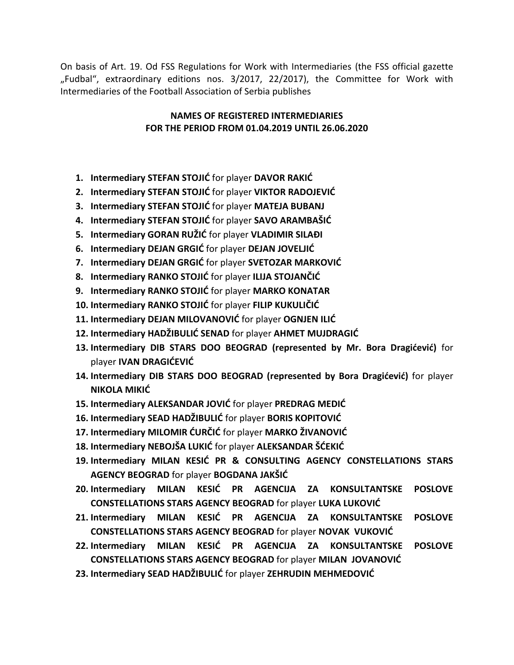On basis of Art. 19. Od FSS Regulations for Work with Intermediaries (the FSS official gazette "Fudbal", extraordinary editions nos. 3/2017, 22/2017), the Committee for Work with Intermediaries of the Football Association of Serbia publishes

#### **NAMES OF REGISTERED INTERMEDIARIES FOR THE PERIOD FROM 01.04.2019 UNTIL 26.06.2020**

- **1. Intermediary STEFAN STOJIĆ** for player **DAVOR RAKIĆ**
- **2. Intermediary STEFAN STOJIĆ** for player **VIKTOR RADOJEVIĆ**
- **3. Intermediary STEFAN STOJIĆ** for player **MATEJA BUBANJ**
- **4. Intermediary STEFAN STOJIĆ** for player **SAVO ARAMBAŠIĆ**
- **5. Intermediary GORAN RUŽIĆ** for player **VLADIMIR SILAĐI**
- **6. Intermediary DEJAN GRGIĆ** for player **DEJAN JOVELJIĆ**
- **7. Intermediary DEJAN GRGIĆ** for player **SVETOZAR MARKOVIĆ**
- **8. Intermediary RANKO STOJIĆ** for player **ILIJA STOJANČIĆ**
- **9. Intermediary RANKO STOJID** for player **MARKO KONATAR**
- **10. Intermediary RANKO STOJIĆ** for player **FILIP KUKULIČIĆ**
- **11. Intermediary DEJAN MILOVANOVIĆ** for player OGNJEN ILIĆ
- **12. Intermediary HADŽIBULIĆ SENAD** for player **AHMET MUJDRAGIĆ**
- **13. Intermediary DIB STARS DOO BEOGRAD (represented by Mr. Bora Dragićević)** for player **IVAN DRAGIĆEVIĆ**
- **14. Intermediary DIB STARS DOO BEOGRAD (represented by Bora Dragićević)** for player **NIKOLA MIKIĆ**
- **15. Intermediary ALEKSANDAR JOVIĆ** for player **PREDRAG MEDIĆ**
- **16. Intermediary SEAD HADŽIBULIĆ** for player **BORIS KOPITOVIĆ**
- **17. Intermediary MILOMIR ĆURČIĆ** for player **MARKO ŽIVANOVIĆ**
- **18. Intermediary NEBOJŠA LUKIĆ** for player **ALEKSANDAR ŠĆEKIĆ**
- **19. Intermediary MILAN KESIĆ PR & CONSULTING AGENCY CONSTELLATIONS STARS AGENCY BEOGRAD** for player **BOGDANA JAKŠIĆ**
- **20. Intermediary MILAN KESIĆ PR AGENCIJA ZA KONSULTANTSKE POSLOVE CONSTELLATIONS STARS AGENCY BEOGRAD** for player LUKA LUKOVIC
- **21. Intermediary MILAN KESIĆ PR AGENCIJA ZA KONSULTANTSKE POSLOVE CONSTELLATIONS STARS AGENCY BEOGRAD** for player **NOVAK** VUKOVIĆ
- 22. Intermediary MILAN KESIĆ PR AGENCIJA ZA KONSULTANTSKE POSLOVE **CONSTELLATIONS STARS AGENCY BEOGRAD** for player **MILAN JOVANOVIĆ**
- **23. Intermediary SEAD HADŽIBULIĆ** for player **ZEHRUDIN MEHMEDOVIĆ**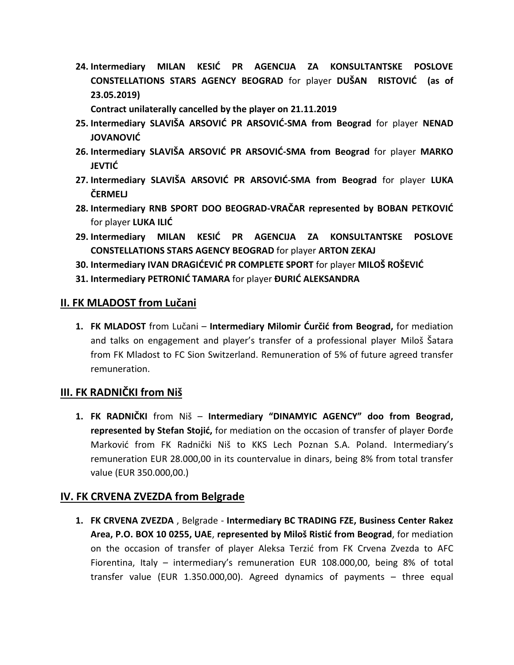**24. Intermediary MILAN KESIĆ PR AGENCIJA ZA KONSULTANTSKE POSLOVE CONSTELLATIONS STARS AGENCY BEOGRAD** for player DUŠAN RISTOVIĆ (as of **23.05.2019)**

**Contract unilaterally cancelled by the player on 21.11.2019**

- **25.** Intermediary SLAVIŠA ARSOVIĆ PR ARSOVIĆ-SMA from Beograd for player NENAD JOVANOVIĆ
- **26.** Intermediary SLAVIŠA ARSOVIĆ PR ARSOVIĆ-SMA from Beograd for player MARKO **JEVTIĆ**
- 27. Intermediary SLAVIŠA ARSOVIĆ PR ARSOVIĆ-SMA from Beograd for player LUKA **ČERMELJ**
- **28.** Intermediary RNB SPORT DOO BEOGRAD-VRAČAR represented by BOBAN PETKOVIĆ for player **LUKA ILIĆ**
- **29. Intermediary MILAN KESID PR AGENCIJA ZA KONSULTANTSKE POSLOVE CONSTELLATIONS STARS AGENCY BEOGRAD** for player **ARTON ZEKAJ**
- **30. Intermediary IVAN DRAGIĆEVIĆ PR COMPLETE SPORT** for player **MILOŠ ROŠEVIĆ**
- **31. Intermediary PETRONID TAMARA** for player **ĐURID ALEKSANDRA**

#### **II. FK MLADOST from Lučani**

1. **FK MLADOST** from Lučani – **Intermediary Milomir Ćurčić from Beograd,** for mediation and talks on engagement and player's transfer of a professional player Miloš Šatara from FK Mladost to FC Sion Switzerland. Remuneration of 5% of future agreed transfer remuneration.

### **III. FK RADNIČKI from Niš**

**1. FK RADNIČKI** from Niš – **Intermediary "DINAMYIC AGENCY" doo from Beograd, represented by Stefan Stojić,** for mediation on the occasion of transfer of player Đorđe Markovid from FK Radnički Niš to KKS Lech Poznan S.A. Poland. Intermediary's remuneration EUR 28.000,00 in its countervalue in dinars, being 8% from total transfer value (EUR 350.000,00.)

### **IV. FK CRVENA ZVEZDA from Belgrade**

**1. FK CRVENA ZVEZDA** , Belgrade - **Intermediary BC TRADING FZE, Business Center Rakez Area, P.O. BOX 10 0255, UAE**, **represented by Miloš Ristić from Beograd**, for mediation on the occasion of transfer of player Aleksa Terzić from FK Crvena Zvezda to AFC Fiorentina, Italy – intermediary's remuneration EUR 108.000,00, being 8% of total transfer value (EUR 1.350.000,00). Agreed dynamics of payments – three equal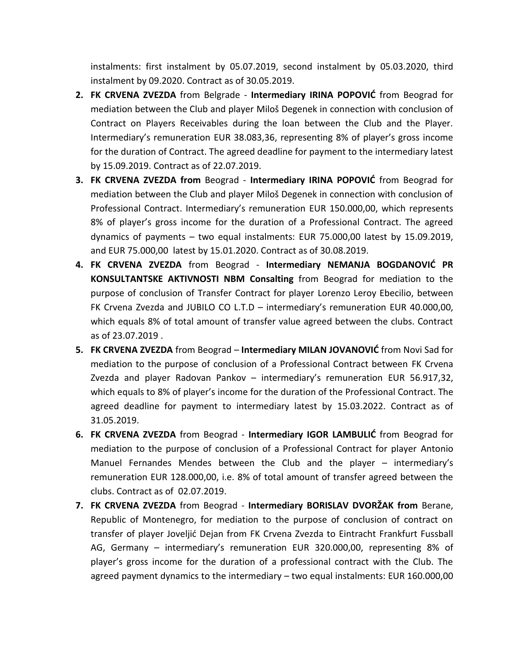instalments: first instalment by 05.07.2019, second instalment by 05.03.2020, third instalment by 09.2020. Contract as of 30.05.2019.

- 2. FK CRVENA ZVEZDA from Belgrade Intermediary IRINA POPOVIĆ from Beograd for mediation between the Club and player Miloš Degenek in connection with conclusion of Contract on Players Receivables during the loan between the Club and the Player. Intermediary's remuneration EUR 38.083,36, representing 8% of player's gross income for the duration of Contract. The agreed deadline for payment to the intermediary latest by 15.09.2019. Contract as of 22.07.2019.
- **3. FK CRVENA ZVEZDA from** Beograd Intermediary IRINA POPOVIĆ from Beograd for mediation between the Club and player Miloš Degenek in connection with conclusion of Professional Contract. Intermediary's remuneration EUR 150.000,00, which represents 8% of player's gross income for the duration of a Professional Contract. The agreed dynamics of payments – two equal instalments: EUR 75.000,00 latest by 15.09.2019, and EUR 75.000,00 latest by 15.01.2020. Contract as of 30.08.2019.
- **4. FK CRVENA ZVEZDA** from Beograd **Intermediary NEMANJA BOGDANOVIĆ PR KONSULTANTSKE AKTIVNOSTI NBM Consalting** from Beograd for mediation to the purpose of conclusion of Transfer Contract for player Lorenzo Leroy Ebecilio, between FK Crvena Zvezda and JUBILO CO L.T.D – intermediary's remuneration EUR 40.000,00, which equals 8% of total amount of transfer value agreed between the clubs. Contract as of 23.07.2019 .
- **5. FK CRVENA ZVEZDA** from Beograd **Intermediary MILAN JOVANOVIC** from Novi Sad for mediation to the purpose of conclusion of a Professional Contract between FK Crvena Zvezda and player Radovan Pankov – intermediary's remuneration EUR 56.917,32, which equals to 8% of player's income for the duration of the Professional Contract. The agreed deadline for payment to intermediary latest by 15.03.2022. Contract as of 31.05.2019.
- 6. FK CRVENA ZVEZDA from Beograd Intermediary IGOR LAMBULIC from Beograd for mediation to the purpose of conclusion of a Professional Contract for player Antonio Manuel Fernandes Mendes between the Club and the player – intermediary's remuneration EUR 128.000,00, i.e. 8% of total amount of transfer agreed between the clubs. Contract as of 02.07.2019.
- **7. FK CRVENA ZVEZDA** from Beograd **Intermediary BORISLAV DVORŽAK from** Berane, Republic of Montenegro, for mediation to the purpose of conclusion of contract on transfer of player Joveljid Dejan from FK Crvena Zvezda to Eintracht Frankfurt Fussball AG, Germany – intermediary's remuneration EUR 320.000,00, representing 8% of player's gross income for the duration of a professional contract with the Club. The agreed payment dynamics to the intermediary – two equal instalments: EUR 160.000,00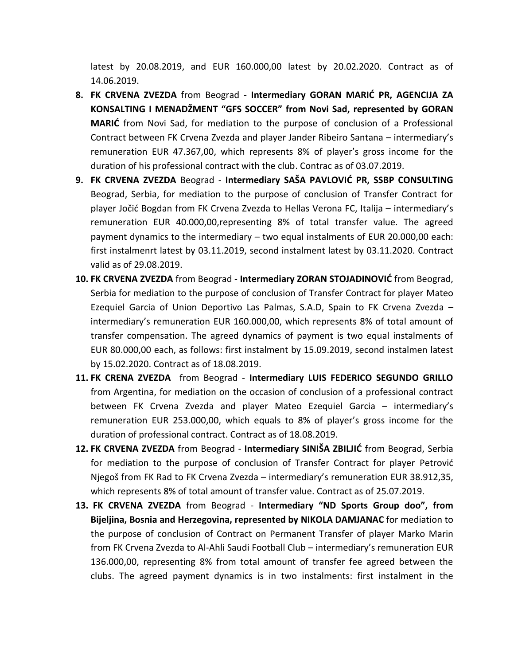latest by 20.08.2019, and EUR 160.000,00 latest by 20.02.2020. Contract as of 14.06.2019.

- 8. FK CRVENA ZVEZDA from Beograd Intermediary GORAN MARIĆ PR, AGENCIJA ZA **KONSALTING I MENADŽMENT "GFS SOCCER" from Novi Sad, represented by GORAN MARIC** from Novi Sad, for mediation to the purpose of conclusion of a Professional Contract between FK Crvena Zvezda and player Jander Ribeiro Santana – intermediary's remuneration EUR 47.367,00, which represents 8% of player's gross income for the duration of his professional contract with the club. Contrac as of 03.07.2019.
- 9. FK CRVENA ZVEZDA Beograd Intermediary SAŠA PAVLOVIĆ PR, SSBP CONSULTING Beograd, Serbia, for mediation to the purpose of conclusion of Transfer Contract for player Jočid Bogdan from FK Crvena Zvezda to Hellas Verona FC, Italija – intermediary's remuneration EUR 40.000,00,representing 8% of total transfer value. The agreed payment dynamics to the intermediary – two equal instalments of EUR 20.000,00 each: first instalmenrt latest by 03.11.2019, second instalment latest by 03.11.2020. Contract valid as of 29.08.2019.
- 10. FK CRVENA ZVEZDA from Beograd Intermediary ZORAN STOJADINOVIĆ from Beograd, Serbia for mediation to the purpose of conclusion of Transfer Contract for player Mateo Ezequiel Garcia of Union Deportivo Las Palmas, S.A.D, Spain to FK Crvena Zvezda – intermediary's remuneration EUR 160.000,00, which represents 8% of total amount of transfer compensation. The agreed dynamics of payment is two equal instalments of EUR 80.000,00 each, as follows: first instalment by 15.09.2019, second instalmen latest by 15.02.2020. Contract as of 18.08.2019.
- **11. FK CRENA ZVEZDA** from Beograd **Intermediary LUIS FEDERICO SEGUNDO GRILLO** from Argentina, for mediation on the occasion of conclusion of a professional contract between FK Crvena Zvezda and player Mateo Ezequiel Garcia – intermediary's remuneration EUR 253.000,00, which equals to 8% of player's gross income for the duration of professional contract. Contract as of 18.08.2019.
- **12. FK CRVENA ZVEZDA** from Beograd **Intermediary SINIŠA ZBILJID** from Beograd, Serbia for mediation to the purpose of conclusion of Transfer Contract for player Petrović Njegoš from FK Rad to FK Crvena Zvezda – intermediary's remuneration EUR 38.912,35, which represents 8% of total amount of transfer value. Contract as of 25.07.2019.
- **13. FK CRVENA ZVEZDA** from Beograd **Intermediary "ND Sports Group doo", from Bijeljina, Bosnia and Herzegovina, represented by NIKOLA DAMJANAC** for mediation to the purpose of conclusion of Contract on Permanent Transfer of player Marko Marin from FK Crvena Zvezda to Al-Ahli Saudi Football Club – intermediary's remuneration EUR 136.000,00, representing 8% from total amount of transfer fee agreed between the clubs. The agreed payment dynamics is in two instalments: first instalment in the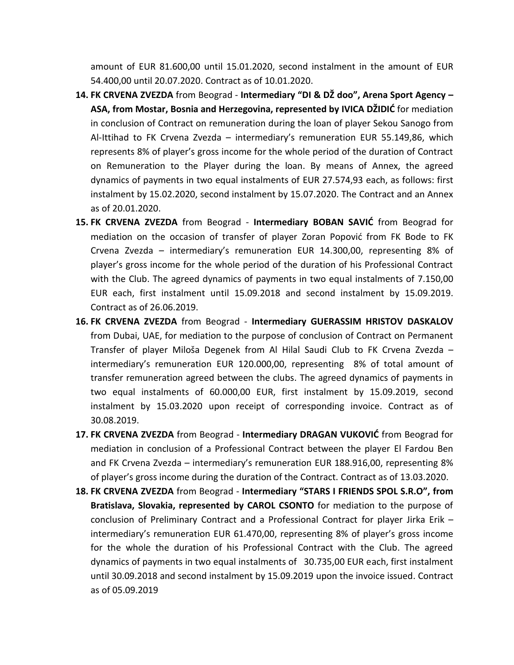amount of EUR 81.600,00 until 15.01.2020, second instalment in the amount of EUR 54.400,00 until 20.07.2020. Contract as of 10.01.2020.

- **14. FK CRVENA ZVEZDA** from Beograd **Intermediary "DI & DŽ doo", Arena Sport Agency – ASA, from Mostar, Bosnia and Herzegovina, represented by IVICA DŽIDIĆ** for mediation in conclusion of Contract on remuneration during the loan of player Sekou Sanogo from Al-Ittihad to FK Crvena Zvezda – intermediary's remuneration EUR 55.149,86, which represents 8% of player's gross income for the whole period of the duration of Contract on Remuneration to the Player during the loan. By means of Annex, the agreed dynamics of payments in two equal instalments of EUR 27.574,93 each, as follows: first instalment by 15.02.2020, second instalment by 15.07.2020. The Contract and an Annex as of 20.01.2020.
- 15. FK CRVENA ZVEZDA from Beograd Intermediary BOBAN SAVIĆ from Beograd for mediation on the occasion of transfer of player Zoran Popović from FK Bode to FK Crvena Zvezda – intermediary's remuneration EUR 14.300,00, representing 8% of player's gross income for the whole period of the duration of his Professional Contract with the Club. The agreed dynamics of payments in two equal instalments of 7.150,00 EUR each, first instalment until 15.09.2018 and second instalment by 15.09.2019. Contract as of 26.06.2019.
- **16. FK CRVENA ZVEZDA** from Beograd **Intermediary GUERASSIM HRISTOV DASKALOV**  from Dubai, UAE, for mediation to the purpose of conclusion of Contract on Permanent Transfer of player Miloša Degenek from Al Hilal Saudi Club to FK Crvena Zvezda – intermediary's remuneration EUR 120.000,00, representing 8% of total amount of transfer remuneration agreed between the clubs. The agreed dynamics of payments in two equal instalments of 60.000,00 EUR, first instalment by 15.09.2019, second instalment by 15.03.2020 upon receipt of corresponding invoice. Contract as of 30.08.2019.
- 17. FK CRVENA ZVEZDA from Beograd Intermediary DRAGAN VUKOVIĆ from Beograd for mediation in conclusion of a Professional Contract between the player El Fardou Ben and FK Crvena Zvezda – intermediary's remuneration EUR 188.916,00, representing 8% of player's gross income during the duration of the Contract. Contract as of 13.03.2020.
- **18. FK CRVENA ZVEZDA** from Beograd **Intermediary "STARS I FRIENDS SPOL S.R.O", from Bratislava, Slovakia, represented by CAROL CSONTO** for mediation to the purpose of conclusion of Preliminary Contract and a Professional Contract for player Jirka Erik – intermediary's remuneration EUR 61.470,00, representing 8% of player's gross income for the whole the duration of his Professional Contract with the Club. The agreed dynamics of payments in two equal instalments of 30.735,00 EUR each, first instalment until 30.09.2018 and second instalment by 15.09.2019 upon the invoice issued. Contract as of 05.09.2019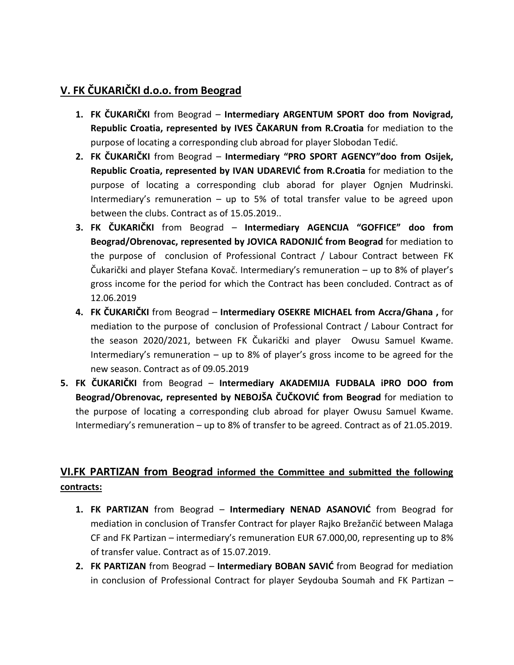## **V. FK ČUKARIČKI d.o.o. from Beograd**

- **1. FK ČUKARIČKI** from Beograd **Intermediary ARGENTUM SPORT doo from Novigrad, Republic Croatia, represented by IVES ČAKARUN from R.Croatia** for mediation to the purpose of locating a corresponding club abroad for player Slobodan Tedić.
- **2. FK ČUKARIČKI** from Beograd **Intermediary "PRO SPORT AGENCY"doo from Osijek, Republic Croatia, represented by IVAN UDAREVIC from R.Croatia for mediation to the** purpose of locating a corresponding club aborad for player Ognjen Mudrinski. Intermediary's remuneration – up to 5% of total transfer value to be agreed upon between the clubs. Contract as of 15.05.2019..
- **3. FK ČUKARIČKI** from Beograd **Intermediary AGENCIJA "GOFFICE" doo from Beograd/Obrenovac, represented by JOVICA RADONJIC from Beograd for mediation to** the purpose of conclusion of Professional Contract / Labour Contract between FK Čukarički and player Stefana Kovač. Intermediary's remuneration – up to 8% of player's gross income for the period for which the Contract has been concluded. Contract as of 12.06.2019
- **4. FK ČUKARIČKI** from Beograd **Intermediary OSEKRE MICHAEL from Accra/Ghana ,** for mediation to the purpose of conclusion of Professional Contract / Labour Contract for the season 2020/2021, between FK Čukarički and player Owusu Samuel Kwame. Intermediary's remuneration – up to 8% of player's gross income to be agreed for the new season. Contract as of 09.05.2019
- **5. FK ČUKARIČKI** from Beograd **Intermediary AKADEMIJA FUDBALA iPRO DOO from Beograd/Obrenovac, represented by NEBOJŠA ČUČKOVID from Beograd** for mediation to the purpose of locating a corresponding club abroad for player Owusu Samuel Kwame. Intermediary's remuneration – up to 8% of transfer to be agreed. Contract as of 21.05.2019.

### **VI.FK PARTIZAN from Beograd informed the Committee and submitted the following contracts:**

- 1. FK PARTIZAN from Beograd Intermediary NENAD ASANOVIĆ from Beograd for mediation in conclusion of Transfer Contract for player Rajko Brežančić between Malaga CF and FK Partizan – intermediary's remuneration EUR 67.000,00, representing up to 8% of transfer value. Contract as of 15.07.2019.
- **2. FK PARTIZAN** from Beograd **Intermediary BOBAN SAVIĆ** from Beograd for mediation in conclusion of Professional Contract for player Seydouba Soumah and FK Partizan –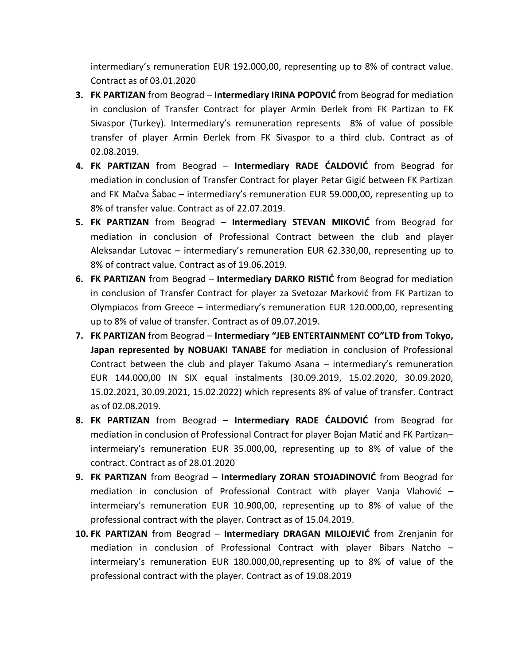intermediary's remuneration EUR 192.000,00, representing up to 8% of contract value. Contract as of 03.01.2020

- **3. FK PARTIZAN** from Beograd Intermediary IRINA POPOVIĆ from Beograd for mediation in conclusion of Transfer Contract for player Armin Đerlek from FK Partizan to FK Sivaspor (Turkey). Intermediary's remuneration represents 8% of value of possible transfer of player Armin Đerlek from FK Sivaspor to a third club. Contract as of 02.08.2019.
- 4. FK PARTIZAN from Beograd Intermediary RADE CALDOVIC from Beograd for mediation in conclusion of Transfer Contract for player Petar Gigić between FK Partizan and FK Mačva Šabac – intermediary's remuneration EUR 59.000,00, representing up to 8% of transfer value. Contract as of 22.07.2019.
- **5. FK PARTIZAN** from Beograd **Intermediary STEVAN MIKOVIĆ** from Beograd for mediation in conclusion of Professional Contract between the club and player Aleksandar Lutovac – intermediary's remuneration EUR 62.330,00, representing up to 8% of contract value. Contract as of 19.06.2019.
- **6. FK PARTIZAN** from Beograd **Intermediary DARKO RISTIC** from Beograd for mediation in conclusion of Transfer Contract for player za Svetozar Markovid from FK Partizan to Olympiacos from Greece – intermediary's remuneration EUR 120.000,00, representing up to 8% of value of transfer. Contract as of 09.07.2019.
- **7. FK PARTIZAN** from Beograd **Intermediary "JEB ENTERTAINMENT CO"LTD from Tokyo, Japan represented by NOBUAKI TANABE** for mediation in conclusion of Professional Contract between the club and player Takumo Asana – intermediary's remuneration EUR 144.000,00 IN SIX equal instalments (30.09.2019, 15.02.2020, 30.09.2020, 15.02.2021, 30.09.2021, 15.02.2022) which represents 8% of value of transfer. Contract as of 02.08.2019.
- **8. FK PARTIZAN** from Beograd **Intermediary RADE CALDOVIC** from Beograd for mediation in conclusion of Professional Contract for player Bojan Matić and FK Partizan– intermeiary's remuneration EUR 35.000,00, representing up to 8% of value of the contract. Contract as of 28.01.2020
- **9. FK PARTIZAN** from Beograd **Intermediary ZORAN STOJADINOVIĆ** from Beograd for mediation in conclusion of Professional Contract with player Vanja Vlahović  $$ intermeiary's remuneration EUR 10.900,00, representing up to 8% of value of the professional contract with the player. Contract as of 15.04.2019.
- 10. FK PARTIZAN from Beograd Intermediary DRAGAN MILOJEVIĆ from Zrenjanin for mediation in conclusion of Professional Contract with player Bibars Natcho – intermeiary's remuneration EUR 180.000,00,representing up to 8% of value of the professional contract with the player. Contract as of 19.08.2019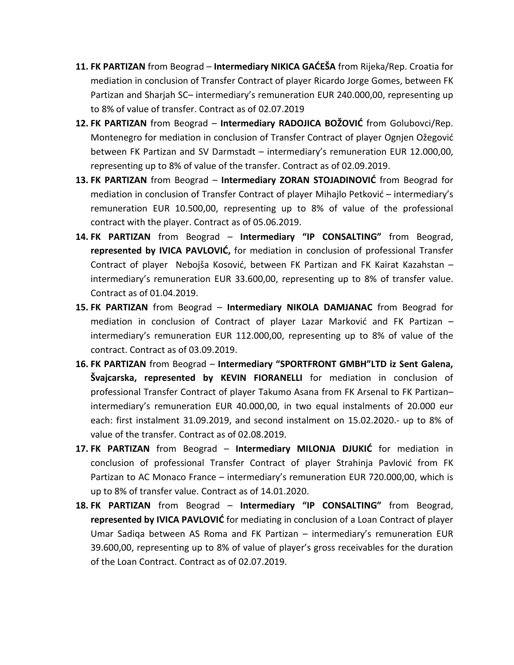- 11. FK PARTIZAN from Beograd Intermediary NIKICA GAĆEŠA from Rijeka/Rep. Croatia for mediation in conclusion of Transfer Contract of player Ricardo Jorge Gomes, between FK Partizan and Sharjah SC– intermediary's remuneration EUR 240.000,00, representing up to 8% of value of transfer. Contract as of 02.07.2019
- **12. FK PARTIZAN** from Beograd **Intermediary RADOJICA BOŽOVIĆ** from Golubovci/Rep. Montenegro for mediation in conclusion of Transfer Contract of player Ognjen Ožegović between FK Partizan and SV Darmstadt – intermediary's remuneration EUR 12.000,00, representing up to 8% of value of the transfer. Contract as of 02.09.2019.
- **13. FK PARTIZAN** from Beograd **Intermediary ZORAN STOJADINOVIĆ** from Beograd for mediation in conclusion of Transfer Contract of player Mihajlo Petković – intermediary's remuneration EUR 10.500,00, representing up to 8% of value of the professional contract with the player. Contract as of 05.06.2019.
- **14. FK PARTIZAN** from Beograd **Intermediary "IP CONSALTING"** from Beograd, **represented by IVICA PAVLOVIĆ**, for mediation in conclusion of professional Transfer Contract of player Nebojša Kosović, between FK Partizan and FK Kairat Kazahstan intermediary's remuneration EUR 33.600,00, representing up to 8% of transfer value. Contract as of 01.04.2019.
- **15. FK PARTIZAN** from Beograd **Intermediary NIKOLA DAMJANAC** from Beograd for mediation in conclusion of Contract of player Lazar Marković and FK Partizan  $$ intermediary's remuneration EUR 112.000,00, representing up to 8% of value of the contract. Contract as of 03.09.2019.
- **16. FK PARTIZAN** from Beograd **Intermediary "SPORTFRONT GMBH"LTD iz Sent Galena, Švajcarska, represented by KEVIN FIORANELLI** for mediation in conclusion of professional Transfer Contract of player Takumo Asana from FK Arsenal to FK Partizan– intermediary's remuneration EUR 40.000,00, in two equal instalments of 20.000 eur each: first instalment 31.09.2019, and second instalment on 15.02.2020.- up to 8% of value of the transfer. Contract as of 02.08.2019.
- **17. FK PARTIZAN** from Beograd **Intermediary MILONJA DJUKIĆ** for mediation in conclusion of professional Transfer Contract of player Strahinja Pavlović from FK Partizan to AC Monaco France – intermediary's remuneration EUR 720.000,00, which is up to 8% of transfer value. Contract as of 14.01.2020.
- **18. FK PARTIZAN** from Beograd **Intermediary "IP CONSALTING"** from Beograd, **represented by IVICA PAVLOVIC** for mediating in conclusion of a Loan Contract of player Umar Sadiqa between AS Roma and FK Partizan – intermediary's remuneration EUR 39.600,00, representing up to 8% of value of player's gross receivables for the duration of the Loan Contract. Contract as of 02.07.2019.